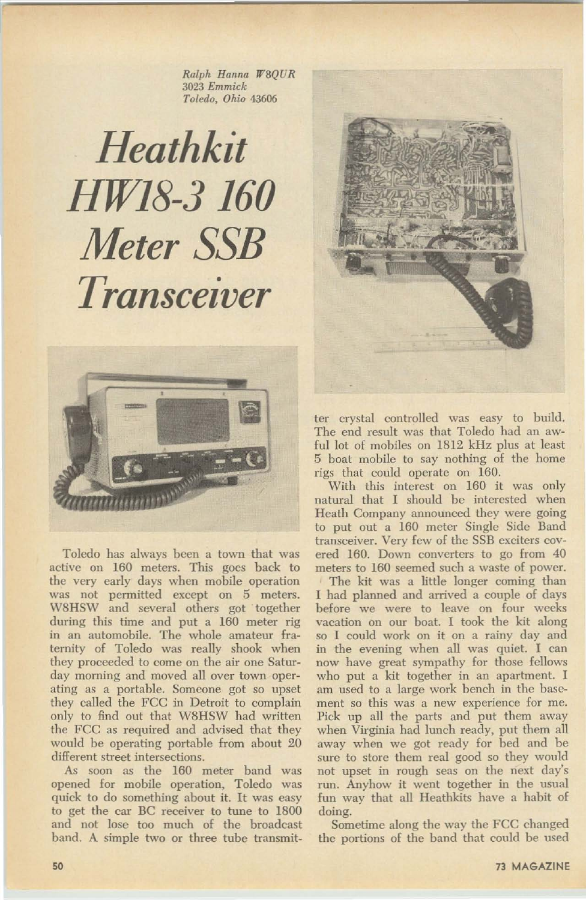*Ralph Hanna 1f'8QUR 3023 Emmick Toledo, Ohio 43606*

## Heathkit HW18-3 160 Meter SSB Transceiver





Toledo has always been a town that was active on 160 meters. This goes back to the very early days when mobile operation was not permitted except on 5 meters. W8HSW and several others got "together during this time and put a 160 meter rig in an automobile. The whole amateur fraternity of Toledo was really shook when they proceeded to come on the air one Saturday morning and moved all over town operating as a portable. Someone got so upset they called the FCC in Detroit to complain only to find out that W8HSW had written the FCC as required and advised that they would be operating portable from about 20 different street intersections.

ter crystal controlled was easy to build. The end result was that Toledo had an awful lot of mobiles on 1812 kHz plus at least 5 boat mobile to say nothing of the home rigs that could operate on 160.

As soon as the 160 meter band was opened for mobile operation. Toledo was quick to do something about it. It was easy to get the car DC receiver to tune to 1800

50



With this interest on 160 it was only natural that I should be interested when Heath Company announced they were going to put out a 160 meter Single Side Band transceiver. Very few of the SSB exciters covered 160. Down converters to go from 40 meters to 160 seemed such a waste of power. The kit was a little longer coming than 1 had planned and arrived a couple of days before we were to leave on four weeks vacation on our boat. I took the kit along so I could work on it on a rainy day and in the evening when all was quiet. I can now have great sympathy for those fellows who put a kit together in an apartment. I am used to a large work bench in the basement so this was a new experience for me. Pick up all the parts and put them away when Virginia had lunch ready, put them all away when we got ready for bed and be sure to store them real good so they would not upset in rough seas on the next day's run. Anyhow it went together in the usual fun way that all Heathkits have a habit of doing.

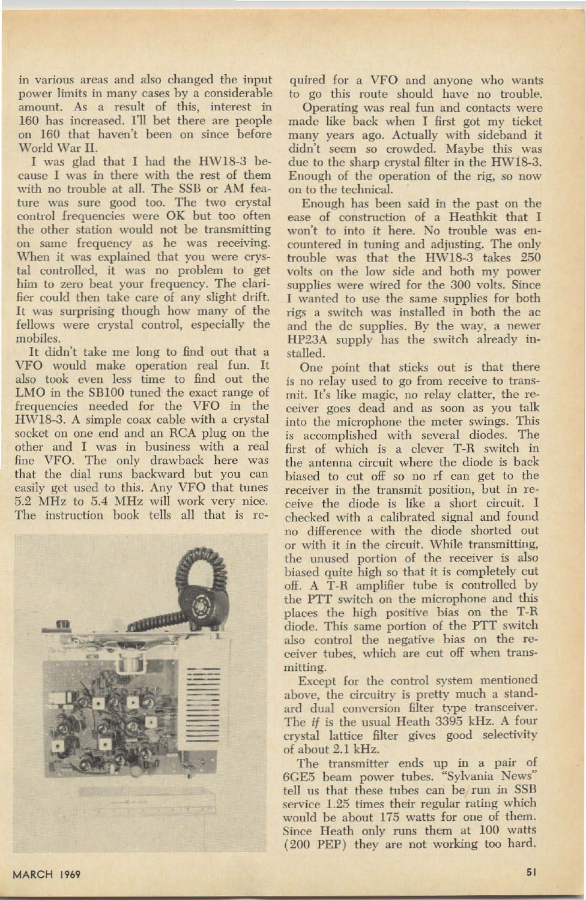**in various areas and also changed the input power limits in many cases by a considerable amount. As a result of this, interest in** 160 has increased. I'll bet there are people **on 160 that haven't been on since before** World War II.

I was glad that I had the HWI8-3 be**cause I was in there with the rest of them** with no trouble at all. The SSB or AM fea**ture was sure good too. The two crystal control frequencies were OK but too often the other station would not be transmitting on same frequency as he was receiving.** When **it was explained that you were crys**tal controlled, it was no problem to get **him to zero beat your frequency. The clari**fier could then take care of any slight drift. It was surprising though how many of the fellows were crystal control, especially the mobiles.

It didn't take me long to find out that a VFO would make operation real fun. It **also took even less time to find out the** LMO in the SB100 tuned the exact range of **frequencies needed for the VFO in the** HWI8-3. A simple coax cable with a crystal **socket on one end and an RCA plug on the other and I was in business with a real** fine VFO. The only drawback here was **that the dial** runs **backward but you can** easily get used to this. Any VFO that tunes 5.2 MHz to 5.4 Mllz will work very nice. The instruction hook tells all that is re-

**quired for a VFO and anyone who wants to go this route should have no trouble. Operating was real fun and contacts were** made like back when I first got my ticket many years ago. Actually with sideband it didn't seem so crowded. Maybe this was due to the sharp crystal filter in the HW18-3. **Enough of the operation of the rig, so now on to the technical.**

**Enough has been said in the past on the ease of construction of a Heathkit that I won't to into it here. No trouble was encountered in tuning and adjusting. The only** trouble was that the HW18-3 takes 250 **volts on the low side and both my power supplies were wired for the 300 volts. Since I wanted to use the same supplies for both rigs a switch was installed in both the ae and the de supplies. By the way, a newer** HP23A supply has the switch already installed.

**One point that sticks out is that there is no relay used to go from receive to transmit. It's like magic, no relay clatter, the receiver goes dead and as soon as you talk**





**into the microphone the meter swings. This is accomplished with several diodes. The first of which is a clever T-R switch in the antenna circuit where the diode is back** hiuscd **to cut off so no** rf **can get to the receiver in the transmit position, hut in receive the diode is like a short circuit. I** checked with a calibrated signal and found **no difference with the diode shorted out or with it in the circuit.** While **transmitting, the unused portion of the receiver is also biased quite high so that it is completely cut** off. A T-R amplifier tube is controlled by **the PTT switch on the microphone and this places the high positive bias on the T-R diode. This same portion of the PTT switch also control the negative bias on the receiver** tubes, **which are cut off when transmitting.**

**Except for the control system mentioned** above, **the circuitry is pretty much a standard dual conversion RIter type transceiver .** The if is the usual Heath 3395 kHz. A four **crystal lattice RIter gives good selectivity** of about 2.1 kHz.

**The transmitter ends up in a pair of 6eES beam power tubes. "Sylvania News"** tell us that these tubes can be run in SSB **service 1.25 times their regular rating which** would be about 175 watts for one of them.